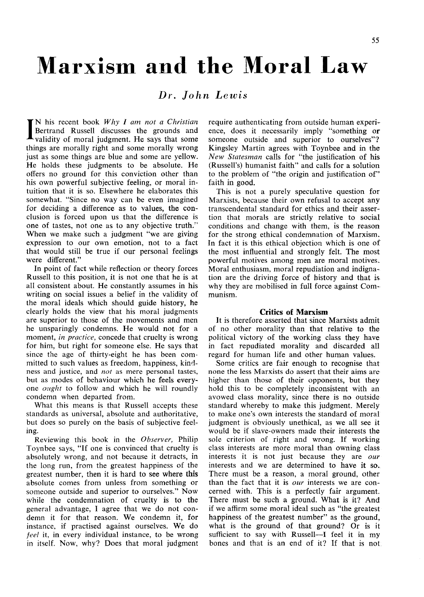# Marxism and the Moral Law

# *Dr. John Lewis*

 $\prod_{\text{N}}$  his recent book *Why I am not a Christia*.<br>Bertrand Russell discusses the grounds and validity of moral judgment. He says that som N his recent book *Why I am not a Christian*  Bertrand Russell discusses the grounds and things are morally right and some morally wrong just as some things are blue and some are yellow. He holds these judgments to be absolute. He offers no ground for this conviction other than his own powerful subjective feeling, or moral intuition that it is so. Elsewhere he elaborates this somewhat. "Since no way can be even imagined for deciding a difference as to values, the conclusion is forced upon us that the difference is one of tastes, not one as to any objective truth." When we make such a judgment "we are giving expression to our own emotion, not to a fact that would still be true if our personal feelings were different."

In point of fact while reflection or theory forces Russell to this position, it is not one that he is at all consistent about. He constantly assumes in his writing on social issues a belief in the validity of the moral ideals which should guide history, he clearly holds the view that his moral judgments are superior to those of the movements and men he unsparingly condemns. He would not for a moment, *in practice,* concede that cruelty is wrong for him, but right for someone else. He says that since the age of thirty-eight he has been committed to such values as freedom, happiness, kindness and justice, and *not* as mere personal tastes, but as modes of behaviour which he feels everyone *ought* to follow and which he will roundly condemn when departed from.

What this means is that Russell accepts these standards as universal, absolute and authoritative, but does so purely on the basis of subjective feeling.

Reviewing this book in the *Observer,* Philip Toynbee says, "If one is convinced that cruelty is absolutely wrong, and not because it detracts, in the long run, from the greatest happiness of the greatest number, then it is hard to see where this absolute comes from unless from something or someone outside and superior to ourselves." Now while the condemnation of cruelty is to the general advantage, I agree that we do not condemn it for that reason. We condemn it, for instance, if practised against ourselves. We do *feel* it, in every individual instance, to be wrong in itself. Now, why? Does that moral judgment require authenticating from outside human experience, does it necessarily imply "something or someone outside and superior to ourselves"? Kingsley Martin agrees with Toynbee and in the *New Statesman* calls for "the justification of his (Russell's) humanist faith" and calls for a solution to the problem of "the origin and justification of" faith in good.

This is not a purely speculative question for Marxists, because their own refusal to accept any transcendental standard for ethics and their assertion that morals are strictly relative to social conditions and change with them, is the reason for the strong ethical condemnation of Marxism. In fact it is this ethical objection which is one of the most influential and strongly felt. The most powerful motives among men are moral motives. Moral enthusiasm, moral repudiation and indignation are the driving force of history and that is why they are mobilised in full force against Communism.

#### **Critics of Marxism**

It is therefore asserted that since Marxists admit of no other morality than that relative to the political victory of the working class they have in fact repudiated morality and discarded all regard for human life and other human values.

Some critics are fair enough to recognise that none the less Marxists do assert that their aims are higher than those of their opponents, but they hold this to be completely inconsistent with an avowed class morality, since there is no outside standard whereby to make this judgment. Merely to make one's own interests the standard of moral judgment is obviously unethical, as we all see it would be if slave-owners made their interests the sole criterion of right and wrong. If working class interests are more moral than owning class interests it is not just because they are *our*  interests and we are determined to have it so. There must be a reason, a moral ground, other than the fact that it is *our* interests we are concerned with. This is a perfectly fair argument. There must be such a ground. What is it? And if we affirm some moral ideal such as "the greatest happiness of the greatest number" as the ground, what is the ground of that ground? Or is it sufficient to say with Russell—I feel it in my bones and that is an end of it? If that is not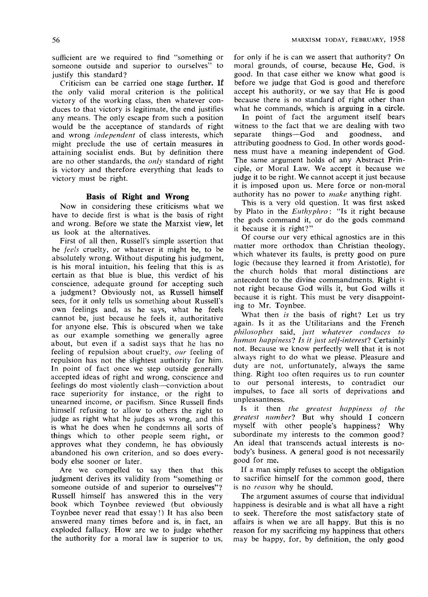sufficient are we required to find "something or someone outside and superior to ourselves" to justify this standard?

Criticism can be carried one stage further. If the only valid moral criterion is the political victory of the working class, then whatever conduces to that victory is legitimate, the end justifies any means. The only escape from such a position would be the acceptance of standards of right and wrong *independent* of class interests, which might preclude the use of certain measures in attaining socialist ends. But by definition there are no other standards, the *only* standard of right is victory and therefore everything that leads to victory must be right.

#### **Basis of Right and Wrong**

Now in considering these criticisms what we have to decide first is what is the basis of right and wrong. Before we state the Marxist view, let us look at the alternatives.

First of all then, Russell's simple assertion that he *feels* cruelty, or whatever it might be, to be absolutely wrong. Without disputing his judgment, is his moral intuition, his feeling that this is as certain as that blue is blue, this verdict of his conscience, adequate ground for accepting such a judgment? Obviously not, as Russell himself sees, for it only tells us something about Russell's own feelings and, as he says, what he feels cannot be, just because he feels it, authoritative for anyone else. This is obscured when we take as our example something we generally agree about, but even if a sadist says that he has no feeling of repulsion about cruelty, *our* feeling of repulsion has not the slightest authority for him. In point of fact once we step outside generally accepted ideas of right and wrong, conscience and feelings do most violently clash—conviction about race superiority for instance, or the right to unearned income, or pacifism. Since Russell finds himself refusing to allow to others the right to judge as right what he judges as wrong, and this is what he does when he condemns all sorts of things which to other people seem right, or approves what they condemn, he has obviously abandoned his own criterion, and so does everybody else sooner or later.

Are we compelled to say then that this judgment derives its validity from "something or someone outside of and superior to ourselves"? Russell himself has answered this in the very book which Toynbee reviewed (but obviously Toynbee never read that essay!) It has also been answered many times before and is, in fact, an exploded fallacy. How are we to judge whether the authority for a moral law is superior to us.

for only if he is can we assert that authority? On moral grounds, of course, because He, God, is good. In that case either we know what good is before we judge that God is good and therefore accept his authority, or we say that He is good because there is no standard of right other than what he commands, which is arguing in a circle.

In point of fact the argument itself bears witness to the fact that we are dealing with two separate things—God and goodness, and attributing goodness to God. In other words goodness must have a meaning independent of God. The same argument holds of any Abstract Principle, or Moral Law. We accept it because we judge it to be right. We cannot accept it just because it is imposed upon us. Mere force or non-moral authority has no power to *make* anything right.

This is a very old question. It was first asked by Plato in the *Euthyphro:* "Is it right because the gods command it, or do the gods command it because it is right?"

Of course our very ethical agnostics are in this matter more orthodox than Christian theology, which whatever its faults, is pretty good on pure logic (because they learned it from Aristotle), for the church holds that moral distinctions are antecedent to the divine commandments. Right is not right because God wills it, but God wills it because it is right. This must be very disappointing to Mr. Toynbee.

What then *is* the basis of right? Let us try again. Is it as the Utilitarians and the French *philosophes* said, *just whatever conduces to human happiness! Is it just self-interest!* Certainly not. Because we know perfectly well that it is not always right to do what we please. Pleasure and duty are not, unfortunately, always the same thing. Right too often requires us to run counter to our personal interests, to contradict our impulses, to face all sorts of deprivations and unpleasantness.

Is it then *the greatest happiness of the greatest number!* But why should I concern myself with other people's happiness? Why subordinate my interests to the common good? An ideal that transcends actual interests is nobody's business. A general good is not necessarily good for me.

If a man simply refuses to accept the obligation to sacrifice himself for the common good, there is no *reason* why he should.

The argument assumes of course that individual happiness is desirable and is what all have a right to seek. Therefore the most satisfactory state of affairs is when we are all happy. But this is no reason for my sacrificing my happiness that others may be happy, for, by definition, the only good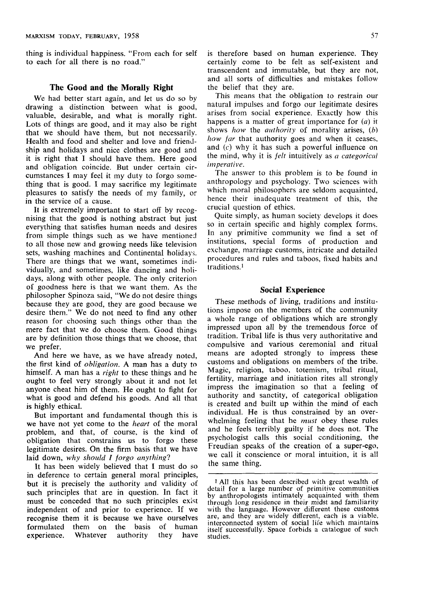thing is individual happiness. "From each for self to each for all there is no road."

## **The Good and the Morally Right**

We had better start again, and let us do so by drawing a distinction between what is good, valuable, desirable, and what is morally right. Lots of things are good, and it may also be right that we should have them, but not necessarily. Health and food and shelter and love and friendship and holidays and nice clothes are good and it is right that I should have them. Here good and obligation coincide. But under certain circumstances I may feel it my duty to forgo something that is good. I may sacrifice my legitimate pleasures to satisfy the needs of my family, or in the service of a cause.

It is extremely important to start off by recognising that the good is nothing abstract but just everything that satisfies human needs and desires from simple things such as we have mentioned to all those new and growing needs like television sets, washing machines and Continental holidays. There are things that we want, sometimes individually, and sometimes, like dancing and holidays, along with other people. The only criterion of goodness here is that we want them. As the philosopher Spinoza said, "We do not desire things because they are good, they are good because we desire them." We do not need to find any other reason for choosing such things other than the mere fact that we do choose them. Good things are by definition those things that we choose, that we prefer.

And here we have, as we have already noted, the first kind of *obligation. A* man has a duty to himself. A man has a *right* to these things and he ought to feel very strongly about it and not let anyone cheat him of them. He ought to fight for what is good and defend his goods. And all that is highly ethical.

But important and fundamental though this is we have not yet come to the *heart* of the moral problem, and that, of course, is the kind of obligation that constrains us to forgo these legitimate desires. On the firm basis that we have laid down, *why should I forgo anything'}* 

It has been widely believed that I must do so in deference to certain general moral principles, but it is precisely the authority and validity of such principles that are in question. In fact it must be conceded that no such principles exist independent of and prior to experience. If we recognise them it is because we have ourselves formulated them on the basis of human experience. Whatever authority they have is therefore based on human experience. They certainly come to be felt as self-existent and transcendent and immutable, but they are not, and all sorts of difficulties and mistakes follow the belief that they are.

This means that the obligation to restrain our natural impulses and forgo our legitimate desires arises from social experience. Exactly how this happens is a matter of great importance for (a) it shows *how* the *authority* of morality arises, *(b) how far* that authority goes and when it ceases, and (c) why it has such a powerful influence on the mind, why it is *felt* intuitively as *a categorical imperative.* 

The answer to this problem is to be found in anthropology and psychology. Two sciences with which moral philosophers are seldom acquainted, hence their inadequate treatment of this, the crucial question of ethics.

Quite simply, as human society develops it does so in certain specific and highly complex forms. In any primitive community we find a set of institutions, special forms of production and exchange, marriage customs, intricate and detailed procedures and rules and taboos, fixed habits and traditions.'

## **Social Experience**

These methods of living, traditions and institutions impose on the members of the community a whole range of obligations which are strongly impressed upon all by the tremendous force of tradition. Tribal life is thus very authoritative and compulsive and various ceremonial and ritual means are adopted strongly to impress these customs and obligations on members of the tribe. Magic, religion, taboo, totemism, tribal ritual, fertility, marriage and initiation rites all strongly impress the imagination so that a feeling of authority and sanctity, of categorical obligation is created and built up within the mind of each individual. He is thus constrained by an overwhelming feeling that he *must* obey these rules and he feels terribly guilty if he does not. The psychologist calls this social conditioning, the Freudian speaks of the creation of a super-ego, we call it conscience or moral intuition, it is all the same thing.

<sup>1</sup> All this has been described with great wealth of detail for a large number of primitive communities by anthropologists intimately acquainted with them through long residence in their midst and familiarity with the language. However different these customs are, and they are widely different, each is a viable, interconnected system of social lite which maintains itself successfully. Space forbids a catalogue of such studies.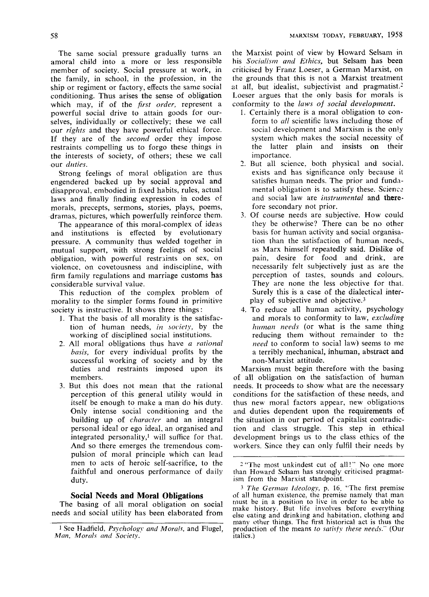The same social pressure gradually turns an amoral child into a more or less responsible member of society. Social pressure at work, in the family, in school, in the profession, in the ship or regiment or factory, effects the same social conditioning. Thus arises the sense of obligation which may, if of the *first order,* represent a powerful social drive to attain goods for ourselves, individually or collectively; these we call our *rights* and they have powerful ethical force. If they are of the *second* order they impose restraints compelling us to forgo these things in the interests of society, of others; these we call our *duties.* 

Strong feelings of moral obligation are thus engendered backed up by social approval and disapproval, embodied in fixed habits, rules, actual laws and finally finding expression in codes of morals, precepts, sermons, stories, plays, poems, dramas, pictures, which powerfully reinforce them.

The appearance of this moral-complex of ideas and institutions is effected by evolutionary pressure. A community thus welded together in mutual support, with strong feelings of social obligation, with powerful restraints on sex, on violence, on covetousness and indiscipline, with firm family regulations and marriage customs has considerable survival value.

This reduction of the complex problem of morality to the simpler forms found in primitive society is instructive. It shows three things:

- J. That the basis of all morality is the satisfaction of human needs, *in society,* by the working of disciplined social institutions.
- 2. All moral obligations thus have *a rational basis,* for every individual profits by the successful working of society and by the duties and restraints imposed upon its members.
- 3. But this does not mean that the rational perception of this general utility would in itself be enough to make a man do his duty. Only intense social conditioning and the building up of *character* and an integral personal ideal or ego ideal, an organised and integrated personality, $\frac{1}{1}$  will suffice for that. And so there emerges the tremendous compulsion of moral principle which can lead men to acts of heroic self-sacrifice, to the faithful and onerous performance of daily duty.

## **Social Needs and Moral Obligations**

The basing of all moral obligation on social needs and social utility has been elaborated from the Marxist point of view by Howard Selsam in his *Socialism and Ethics,* but Selsam has been criticised by Franz Loeser, a German Marxist, on the grounds that this is not a Marxist treatment at all, but idealist, subjectivist and pragmatist.<sup>2</sup> Loeser argues that the only basis for morals is conformity to the *laws of social development.* 

- 1. Certainly there is a moral obligation to conform to *all* scientific laws including those of social development and Marxism is the only system which makes the social necessity of the latter plain and insists on their importance.
- 2. But all science, both physical and social, exists and has significance only because il satisfies human needs. The prior and fundamental obligation is to satisfy these. Science and social law are *instrumental* and **therefore** secondary not prior.
- 3. Of course needs are subjective. How could they be otherwise? There can be no other basis for human activity and social organisation than the satisfaction of human needs, as Marx himself repeatedly said. Dislike of pain, desire for food and drink, are necessarily felt subjectively just as are the perception of tastes, sounds and colours. They are none the less objective for that. Surely this is a case of the dialectical interplay of subjective and objective.3
- 4. To reduce all human activity, psychology and morals to conformity to law, *excluding human needs* (or what is the same thing reducing them without remainder to the *need* to conform to social law) seems to me a terribly mechanical, inhuman, abstract and non-Marxist attitude.

Marxism must begin therefore with the basing of all obligation on the satisfaction of human needs. It proceeds to show what are the necessary conditions for the satisfaction of these needs, and thus new moral factors appear, new obligations and duties dependent upon the requirements of the situation in our period of capitalist contradiction and class struggle. This step in ethical development brings us to the class ethics of the workers. Since they can only fulfil their needs by

2 "The most unkindest cut of all!" No one more than Howard Selsam has strongly criticised pragmatism from the Marxist standpoint.

<sup>1</sup> See Hadfield, *Psychology and Morals,* and Flugel, *Man, Morals and Society.* 

<sup>3</sup> *The German Ideology,* p. 16. 'The first premise of all human existence, the premise namely that man must be in a position to live in order to be able to make history. But life involves before everything else eating and drinking and habitation, clothing and many other things. The first historical act is thus the production of the means *to satisfy these needs."* (Our italics.)